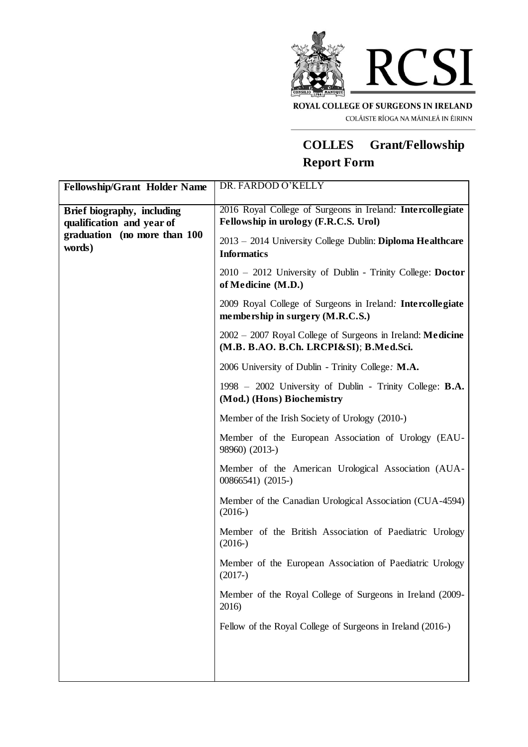

COLÁISTE RÍOGA NA MÁINLEÁ IN ÉIRINN

## **COLLES Grant/Fellowship Report Form**

| <b>Fellowship/Grant Holder Name</b>                                                               | DR. FARDOD O'KELLY                                                                                    |
|---------------------------------------------------------------------------------------------------|-------------------------------------------------------------------------------------------------------|
| Brief biography, including<br>qualification and year of<br>graduation (no more than 100<br>words) | 2016 Royal College of Surgeons in Ireland: Intercollegiate<br>Fellowship in urology (F.R.C.S. Urol)   |
|                                                                                                   | 2013 - 2014 University College Dublin: Diploma Healthcare<br><b>Informatics</b>                       |
|                                                                                                   | 2010 - 2012 University of Dublin - Trinity College: Doctor<br>of Medicine (M.D.)                      |
|                                                                                                   | 2009 Royal College of Surgeons in Ireland: Intercollegiate<br>membership in surgery (M.R.C.S.)        |
|                                                                                                   | 2002 – 2007 Royal College of Surgeons in Ireland: Medicine<br>(M.B. B.AO. B.Ch. LRCPI&SI); B.Med.Sci. |
|                                                                                                   | 2006 University of Dublin - Trinity College: M.A.                                                     |
|                                                                                                   | 1998 – 2002 University of Dublin - Trinity College: <b>B.A.</b><br>(Mod.) (Hons) Biochemistry         |
|                                                                                                   | Member of the Irish Society of Urology (2010-)                                                        |
|                                                                                                   | Member of the European Association of Urology (EAU-<br>98960) (2013-)                                 |
|                                                                                                   | Member of the American Urological Association (AUA-<br>00866541) (2015-)                              |
|                                                                                                   | Member of the Canadian Urological Association (CUA-4594)<br>$(2016-)$                                 |
|                                                                                                   | Member of the British Association of Paediatric Urology<br>$(2016-)$                                  |
|                                                                                                   | Member of the European Association of Paediatric Urology<br>$(2017-)$                                 |
|                                                                                                   | Member of the Royal College of Surgeons in Ireland (2009-<br>2016)                                    |
|                                                                                                   | Fellow of the Royal College of Surgeons in Ireland (2016-)                                            |
|                                                                                                   |                                                                                                       |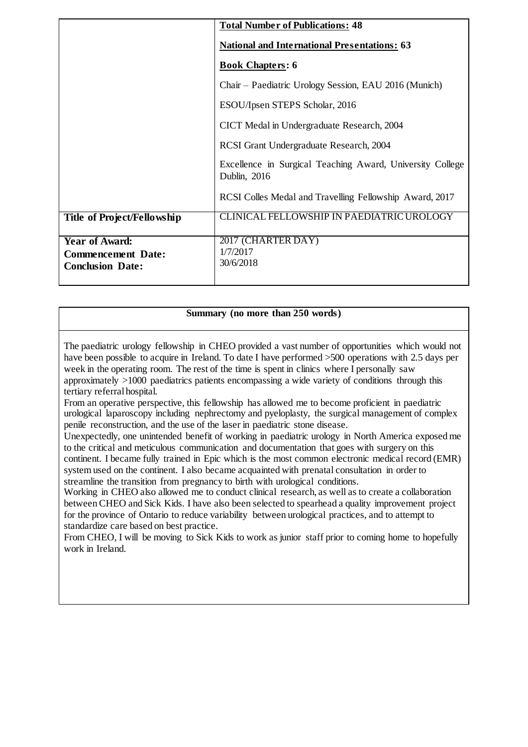|                                                                               | <b>Total Number of Publications: 48</b>                                   |
|-------------------------------------------------------------------------------|---------------------------------------------------------------------------|
|                                                                               | <b>National and International Presentations: 63</b>                       |
|                                                                               | <b>Book Chapters: 6</b>                                                   |
|                                                                               | Chair – Paediatric Urology Session, EAU 2016 (Munich)                     |
|                                                                               | ESOU/Ipsen STEPS Scholar, 2016                                            |
|                                                                               | CICT Medal in Undergraduate Research, 2004                                |
|                                                                               | RCSI Grant Undergraduate Research, 2004                                   |
|                                                                               | Excellence in Surgical Teaching Award, University College<br>Dublin, 2016 |
|                                                                               | RCSI Colles Medal and Travelling Fellowship Award, 2017                   |
| Title of Project/Fellowship                                                   | <b>CLINICAL FELLOWSHIP IN PAEDIATRIC UROLOGY</b>                          |
| <b>Year of Award:</b><br><b>Commencement Date:</b><br><b>Conclusion Date:</b> | 2017 (CHARTER DAY)<br>1/7/2017<br>30/6/2018                               |

## **Summary (no more than 250 words)**

The paediatric urology fellowship in CHEO provided a vast number of opportunities which would not have been possible to acquire in Ireland. To date I have performed  $>500$  operations with 2.5 days per week in the operating room. The rest of the time is spent in clinics where I personally saw approximately >1000 paediatrics patients encompassing a wide variety of conditions through this tertiary referral hospital.

From an operative perspective, this fellowship has allowed me to become proficient in paediatric urological laparoscopy including nephrectomy and pyeloplasty, the surgical management of complex penile reconstruction, and the use of the laser in paediatric stone disease.

Unexpectedly, one unintended benefit of working in paediatric urology in North America exposed me to the critical and meticulous communication and documentation that goes with surgery on this continent. I became fully trained in Epic which is the most common electronic medical record (EMR) system used on the continent. I also became acquainted with prenatal consultation in order to streamline the transition from pregnancy to birth with urological conditions.

Working in CHEO also allowed me to conduct clinical research, as well as to create a collaboration between CHEO and Sick Kids. I have also been selected to spearhead a quality improvement project for the province of Ontario to reduce variability between urological practices, and to attempt to standardize care based on best practice.

From CHEO, I will be moving to Sick Kids to work as junior staff prior to coming home to hopefully work in Ireland.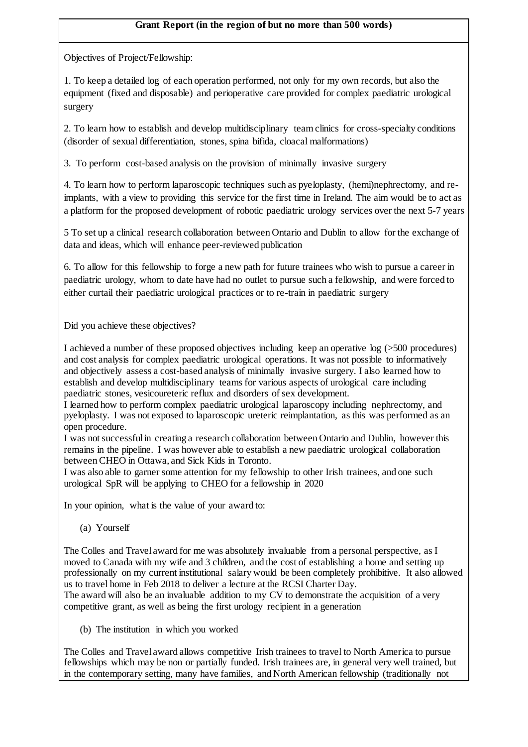## **Grant Report (in the region of but no more than 500 words)**

Objectives of Project/Fellowship:

1. To keep a detailed log of each operation performed, not only for my own records, but also the equipment (fixed and disposable) and perioperative care provided for complex paediatric urological surgery

2. To learn how to establish and develop multidisciplinary team clinics for cross-specialty conditions (disorder of sexual differentiation, stones, spina bifida, cloacal malformations)

3. To perform cost-based analysis on the provision of minimally invasive surgery

4. To learn how to perform laparoscopic techniques such as pyeloplasty, (hemi)nephrectomy, and reimplants, with a view to providing this service for the first time in Ireland. The aim would be to act as a platform for the proposed development of robotic paediatric urology services over the next 5-7 years

5 To set up a clinical research collaboration between Ontario and Dublin to allow for the exchange of data and ideas, which will enhance peer-reviewed publication

6. To allow for this fellowship to forge a new path for future trainees who wish to pursue a career in paediatric urology, whom to date have had no outlet to pursue such a fellowship, and were forced to either curtail their paediatric urological practices or to re-train in paediatric surgery

Did you achieve these objectives?

I achieved a number of these proposed objectives including keep an operative log (>500 procedures) and cost analysis for complex paediatric urological operations. It was not possible to informatively and objectively assess a cost-based analysis of minimally invasive surgery. I also learned how to establish and develop multidisciplinary teams for various aspects of urological care including paediatric stones, vesicoureteric reflux and disorders of sex development.

I learned how to perform complex paediatric urological laparoscopy including nephrectomy, and pyeloplasty. I was not exposed to laparoscopic ureteric reimplantation, as this was performed as an open procedure.

I was not successful in creating a research collaboration between Ontario and Dublin, however this remains in the pipeline. I was however able to establish a new paediatric urological collaboration between CHEO in Ottawa, and Sick Kids in Toronto.

I was also able to garner some attention for my fellowship to other Irish trainees, and one such urological SpR will be applying to CHEO for a fellowship in 2020

In your opinion, what is the value of your award to:

(a) Yourself

The Colles and Travel award for me was absolutely invaluable from a personal perspective, as I moved to Canada with my wife and 3 children, and the cost of establishing a home and setting up professionally on my current institutional salary would be been completely prohibitive. It also allowed us to travel home in Feb 2018 to deliver a lecture at the RCSI Charter Day.

The award will also be an invaluable addition to my CV to demonstrate the acquisition of a very competitive grant, as well as being the first urology recipient in a generation

(b) The institution in which you worked

The Colles and Travel award allows competitive Irish trainees to travel to North America to pursue fellowships which may be non or partially funded. Irish trainees are, in general very well trained, but in the contemporary setting, many have families, and North American fellowship (traditionally not